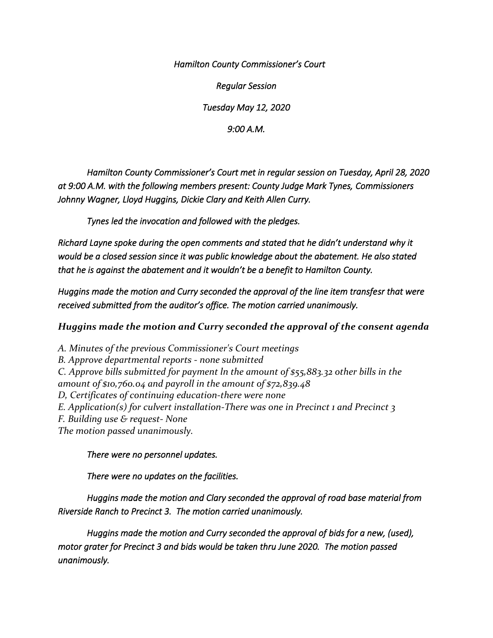*Hamilton County Commissioner's Court* 

*Regular Session* 

*Tuesday May 12, 2020* 

*9:00 A.M.* 

 *Hamilton County Commissioner's Court met in regular session on Tuesday, April 28, 2020 at 9:00 A.M. with the following members present: County Judge Mark Tynes, Commissioners Johnny Wagner, Lloyd Huggins, Dickie Clary and Keith Allen Curry.* 

 *Tynes led the invocation and followed with the pledges.* 

*Richard Layne spoke during the open comments and stated that he didn't understand why it would be a closed session since it was public knowledge about the abatement. He also stated that he is against the abatement and it wouldn't be a benefit to Hamilton County.* 

*Huggins made the motion and Curry seconded the approval of the line item transfesr that were received submitted from the auditor's office. The motion carried unanimously.* 

*Huggins made the motion and Curry seconded the approval of the consent agenda*

*A. Minutes of the previous Commissioner's Court meetings B. Approve departmental reports - none submitted C. Approve bills submitted for payment ln the amount of \$55,883.32 other bills in the amount of \$10,760.04 and payroll in the amount of \$72,839.48 D, Certificates of continuing education-there were none E. Application(s) for culvert installation-There was one in Precinct 1 and Precinct 3 F. Building use & request- None The motion passed unanimously.* 

*There were no personnel updates.* 

*There were no updates on the facilities.* 

*Huggins made the motion and Clary seconded the approval of road base material from Riverside Ranch to Precinct 3. The motion carried unanimously.* 

*Huggins made the motion and Curry seconded the approval of bids for a new, (used), motor grater for Precinct 3 and bids would be taken thru June 2020. The motion passed unanimously.*